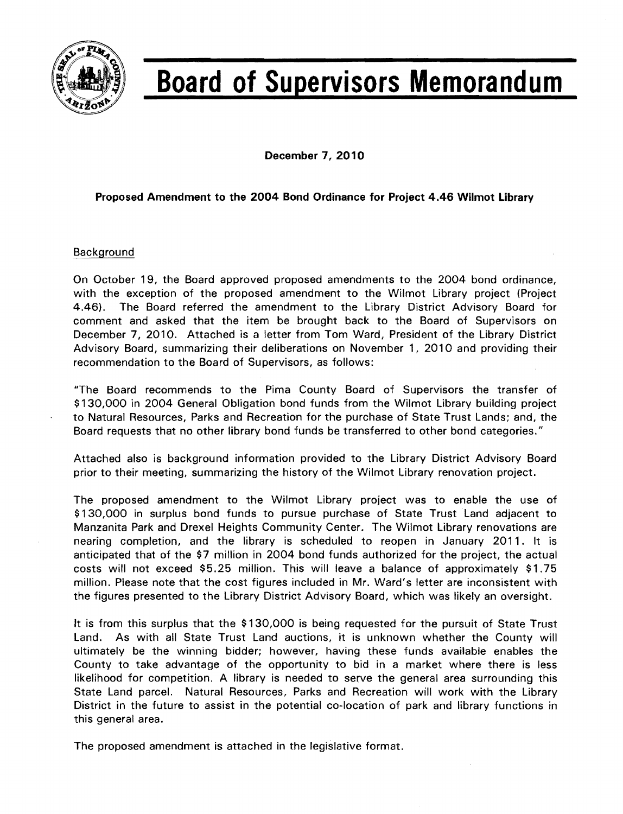

# **Board of Supervisors Memorandum**

December 7, 2010

#### Proposed Amendment to the 2004 Bond Ordinance for Project 4.46 Wilmot library

#### Background

On October 19, the Board approved proposed amendments to the 2004 bond ordinance, with the exception of the proposed amendment to the Wilmot Library project (Project 4.46). The Board referred the amendment to the Library District Advisory Board for comment and asked that the item be brought back to the Board of Supervisors on December 7,2010. Attached is a letter from Tom Ward, President of the Library District Advisory Board, summarizing their deliberations on November 1, 2010 and providing their recommendation to the Board of Supervisors, as follows:

"The Board recommends to the Pima County Board of Supervisors the transfer of \$130,000 in 2004 General Obligation bond funds from the Wilmot Library building project to Natural Resources, Parks and Recreation for the purchase of State Trust Lands; and, the Board requests that no other library bond funds be transferred to other bond categories."

Attached also is background information provided to the Library District Advisory Board prior to their meeting, summarizing the history of the Wilmot Library renovation project.

The proposed amendment to the Wilmot Library project was to enable the use of \$130,000 in surplus bond funds to pursue purchase of State Trust Land adjacent to Manzanita Park and Drexel Heights Community Center. The Wilmot Library renovations are nearing completion, and the library is scheduled to reopen in January 2011. It is anticipated that of the \$7 million in 2004 bond funds authorized for the project, the actual costs will not exceed \$5.25 million. This will leave a balance of approximately \$1.75 million. Please note that the cost figures included in Mr. Ward's letter are inconsistent with the figures presented to the Library District Advisory Board, which was likely an oversight.

It is from this surplus that the \$130,000 is being requested for the pursuit of State Trust Land. As with all State Trust Land auctions, it is unknown whether the County will ultimately be the winning bidder; however, having these funds available enables the County to take advantage of the opportunity to bid in a market where there is less likelihood for competition. A library is needed to serve the general area surrounding this State Land parcel. Natural Resources, Parks and Recreation will work with the Library District in the future to assist in the potential co-location of park and library functions in this general area.

The proposed amendment is attached in the legislative format.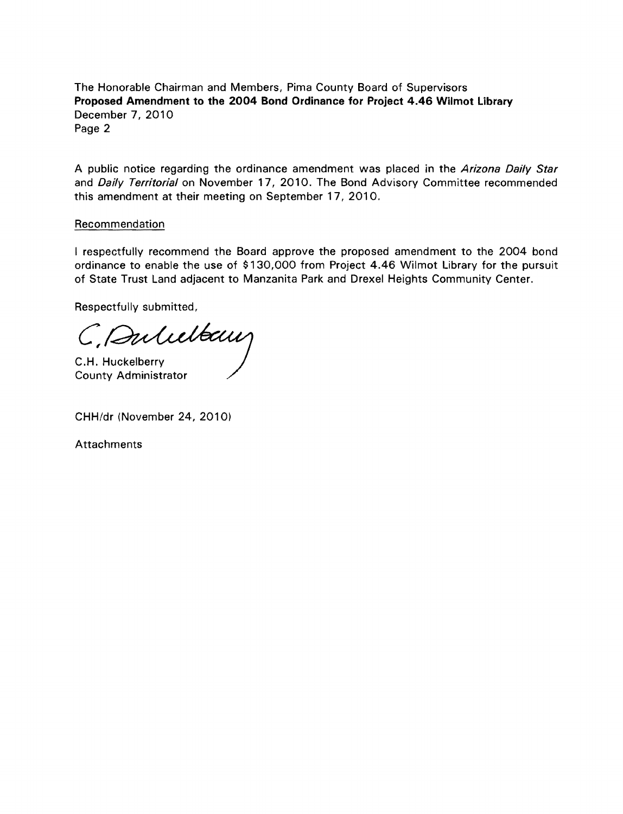The Honorable Chairman and Members, Pima County Board of Supervisors Proposed Amendment to the 2004 Bond Ordinance for Project 4.46 Wilmot Library December 7, 2010 Page 2

A public notice regarding the ordinance amendment was placed in the Arizona Daily Star and Daily Territorial on November 17, 2010. The Bond Advisory Committee recommended this amendment at their meeting on September 17, 2010.

#### Recommendation

I respectfully recommend the Board approve the proposed amendment to the 2004 bond ordinance to enable the use of \$130,000 from Project 4.46 Wilmot Library for the pursuit of State Trust Land adjacent to Manzanita Park and Drexel Heights Community Center.

Respectfully submitted,

 $C,$ Aulieltaus

C.H. Huckelberry County Administrator

CHH/dr (November 24, 2010)

**Attachments**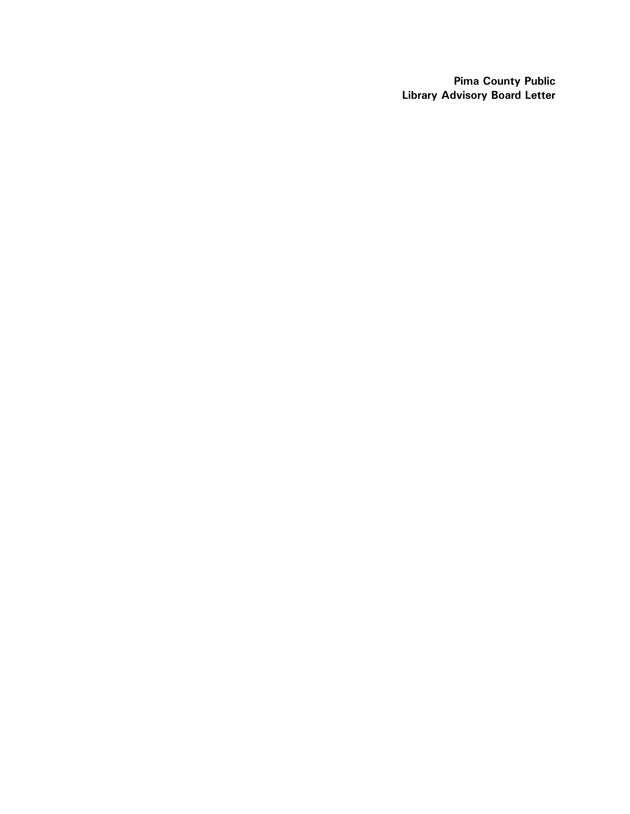**Pima County Public Library Advisory Board Letter**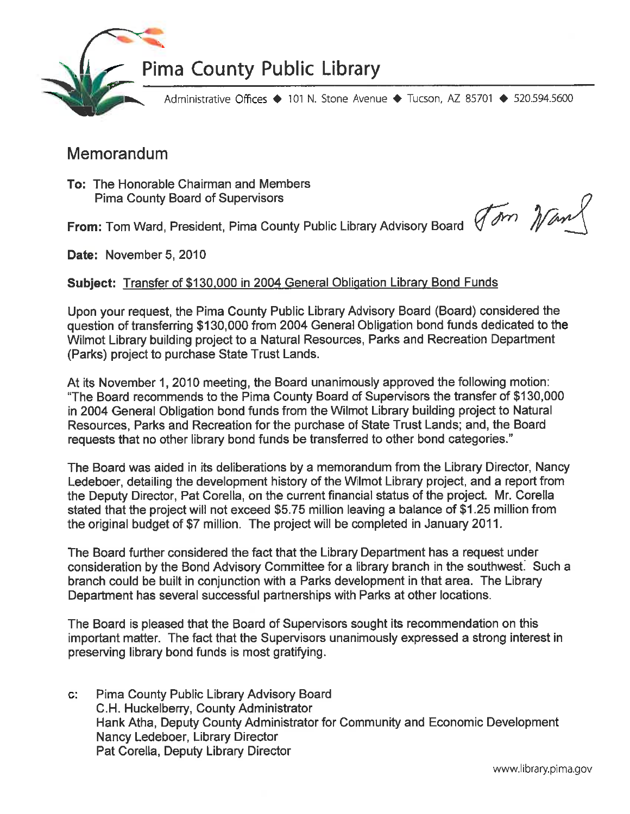

### Administrative Offices ◆ 101 N. Stone Avenue ◆ Tucson, AZ 85701 ◆ 520.594.5600

## Memorandum

To: The Honorable Chairman and Members **Pima County Board of Supervisors** 

From: Tom Ward, President, Pima County Public Library Advisory Board (John Waw

Date: November 5, 2010

#### Subject: Transfer of \$130,000 in 2004 General Obligation Library Bond Funds

Upon your request, the Pima County Public Library Advisory Board (Board) considered the question of transferring \$130,000 from 2004 General Obligation bond funds dedicated to the Wilmot Library building project to a Natural Resources, Parks and Recreation Department (Parks) project to purchase State Trust Lands.

At its November 1, 2010 meeting, the Board unanimously approved the following motion: "The Board recommends to the Pima County Board of Supervisors the transfer of \$130,000 in 2004 General Obligation bond funds from the Wilmot Library building project to Natural Resources. Parks and Recreation for the purchase of State Trust Lands; and, the Board requests that no other library bond funds be transferred to other bond categories."

The Board was aided in its deliberations by a memorandum from the Library Director, Nancy Ledeboer, detailing the development history of the Wilmot Library project, and a report from the Deputy Director, Pat Corella, on the current financial status of the project. Mr. Corella stated that the project will not exceed \$5.75 million leaving a balance of \$1.25 million from the original budget of \$7 million. The project will be completed in January 2011.

The Board further considered the fact that the Library Department has a request under consideration by the Bond Advisory Committee for a library branch in the southwest. Such a branch could be built in conjunction with a Parks development in that area. The Library Department has several successful partnerships with Parks at other locations.

The Board is pleased that the Board of Supervisors sought its recommendation on this important matter. The fact that the Supervisors unanimously expressed a strong interest in preserving library bond funds is most gratifying.

 $\mathbf{C}^*$ Pima County Public Library Advisory Board C.H. Huckelberry, County Administrator Hank Atha, Deputy County Administrator for Community and Economic Development Nancy Ledeboer, Library Director Pat Corella, Deputy Library Director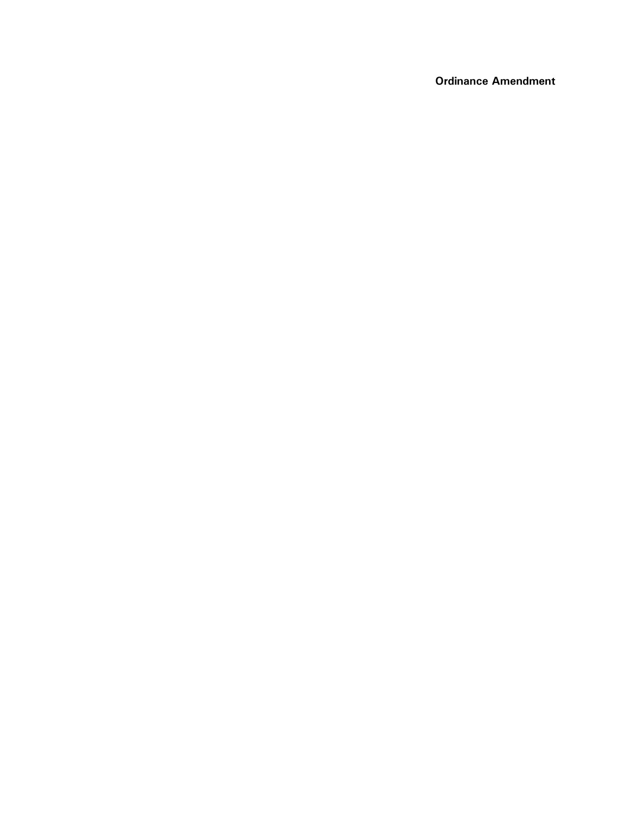**Ordinance Amendment**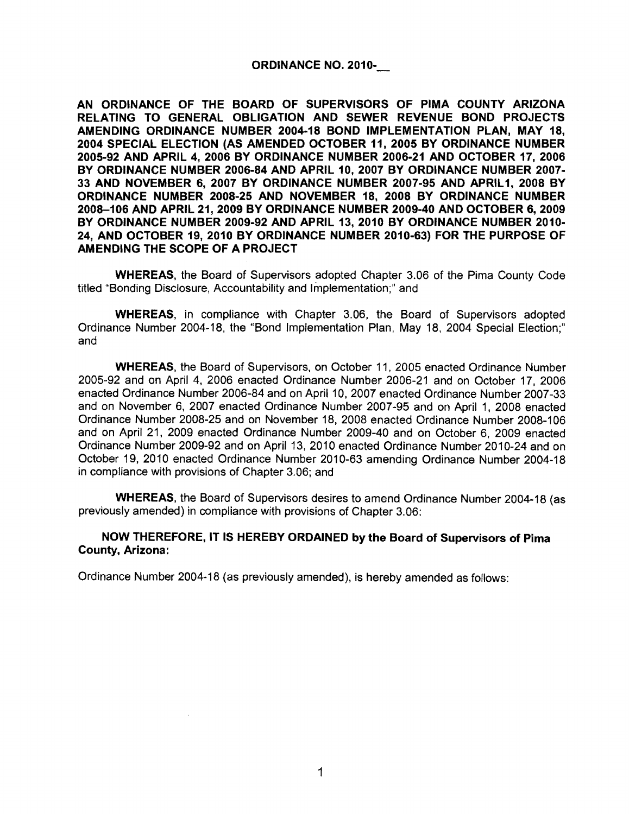#### ORDINANCE NO. 2010-

AN ORDINANCE OF THE BOARD OF SUPERVISORS OF PIMA COUNTY ARIZONA RELATING TO GENERAL OBLIGATION AND SEWER REVENUE BOND PROJECTS AMENDING ORDINANCE NUMBER 2004·18 BOND IMPLEMENTATION PLAN, MAY 18, 2004 SPECIAL ELECTION (AS AMENDED OCTOBER 11, 2005 BY ORDINANCE NUMBER 2005-92 AND APRIL 4,2006 BY ORDINANCE NUMBER 2006·21 AND OCTOBER 17, 2006 BY ORDINANCE NUMBER 2006-84 AND APRIL 10, 2007 BY ORDINANCE NUMBER 2007· 33 AND NOVEMBER 6, 2007 BY ORDINANCE NUMBER 2007-95 AND APRIL1, 2008 BY ORDINANCE NUMBER 2008-25 AND NOVEMBER 18, 2008 BY ORDINANCE NUMBER 2008-106 AND APRIL 21,2009 BY ORDINANCE NUMBER 2009-40 AND OCTOBER 6, 2009 BY ORDINANCE NUMBER 2009-92 AND APRIL 13,2010 BY ORDINANCE NUMBER 2010· 24, AND OCTOBER 19, 2010 BY ORDINANCE NUMBER 2010-63) FOR THE PURPOSE OF AMENDING THE SCOPE OF A PROJECT

WHEREAS, the Board of Supervisors adopted Chapter 3.06 of the Pima County Code titled "Bonding Disclosure, Accountability and Implementation;" and

WHEREAS, in compliance with Chapter 3.06, the Board of Supervisors adopted Ordinance Number 2004-18, the "Bond Implementation Plan, May 18, 2004 Special Election;" and

WHEREAS, the Board of Supervisors, on October 11, 2005 enacted Ordinance Number 2005-92 and on April 4, 2006 enacted Ordinance Number 2006-21 and on October 17, 2006 enacted Ordinance Number 2006-84 and on April 10, 2007 enacted Ordinance Number 2007-33 and on November 6, 2007 enacted Ordinance Number 2007-95 and on April 1, 2008 enacted Ordinance Number 2008-25 and on November 18, 2008 enacted Ordinance Number 2008-106 and on April 21, 2009 enacted Ordinance Number 2009-40 and on October 6, 2009 enacted Ordinance Number 2009-92 and on April 13,2010 enacted Ordinance Number 2010-24 and on October 19, 2010 enacted Ordinance Number 2010-63 amending Ordinance Number 2004-18 in compliance with provisions of Chapter 3.06; and

WHEREAS, the Board of Supervisors desires to amend Ordinance Number 2004-18 (as previously amended) in compliance with provisions of Chapter 3.06:

#### NOW THEREFORE, IT IS HEREBY ORDAINED by the Board of Supervisors of Pima County, Arizona:

Ordinance Number 2004-18 (as previously amended), is hereby amended as follows: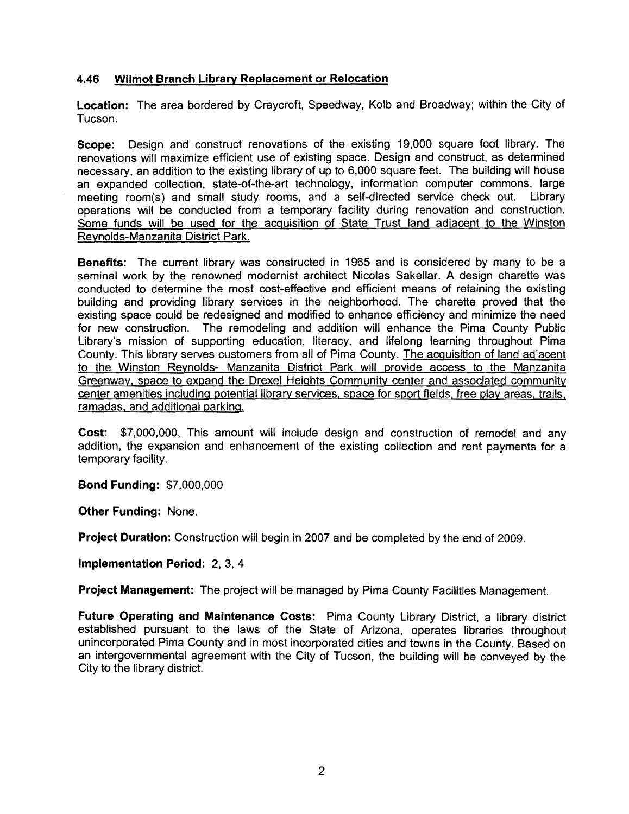#### 4.46 Wilmot Branch Library Replacement or Relocation

Location: The area bordered by Craycroft, Speedway, Kolb and Broadway; within the City of Tucson.

Scope: Design and construct renovations of the existing 19,000 square foot library. The renovations will maximize efficient use of existing space. Design and construct, as determined necessary, an addition to the existing library of up to 6,000 square feet. The building will house an expanded collection, state-of-the-art technology, information computer commons, large meeting room(s) and small study rooms, and a self-directed service check out. Library operations will be conducted from a temporary facility during renovation and construction. Some funds will be used for the acquisition of State Trust land adjacent to the Winston Reynolds-Manzanita District Park.

Benefits: The current library was constructed in 1965 and is considered by many to be a seminal work by the renowned modernist architect Nicolas Sakellar. A design charette was conducted to determine the most cost-effective and efficient means of retaining the existing building and providing library services in the neighborhood. The charette proved that the existing space could be redesigned and modified to enhance efficiency and minimize the need for new construction. The remodeling and addition will enhance the Pima County Public Library's mission of supporting education, literacy, and lifelong learning throughout Pima County. This library serves customers from all of Pima County. The acquisition of land adjacent to the Winston Reynolds- Manzanita District Park will provide access to the Manzanita Greenway, space to expand the Drexel Heights Community center and associated community center amenities including potential library services, space for sport fields, free play areas, trails. ramadas, and additional parking.

Cost: \$7,000,000, This amount will include design and construction of remodel and any addition, the expansion and enhancement of the existing collection and rent payments for a temporary facility.

Bond Funding: \$7,000,000

Other Funding: None.

Project Duration: Construction will begin in 2007 and be completed by the end of 2009.

Implementation Period: 2, 3, 4

Project Management: The project will be managed by Pima County Facilities Management.

Future Operating and Maintenance Costs: Pima County Library District, a library district established pursuant to the laws of the State of Arizona, operates libraries throughout unincorporated Pima County and in most incorporated cities and towns in the County. Based on an intergovernmental agreement with the City of Tucson, the building will be conveyed by the City to the library district.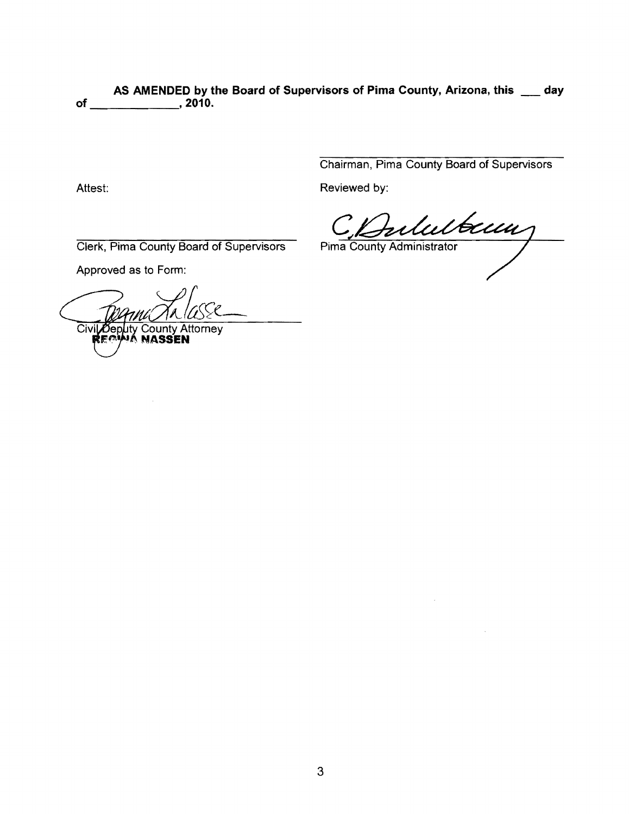AS AMENDED by the Board of Supervisors of Pima County, Arizona, this \_\_\_ day **of ,2010.** 

Chairman, Pima County Board of Supervisors

Attest: **Reviewed by: Reviewed by:** 

C Bulubecum

 $\bar{u}$ 

 $\bar{z}$ 

Clerk, Pima County Board of Supervisors

Approved as to Form:

Civil Deputy County Attorney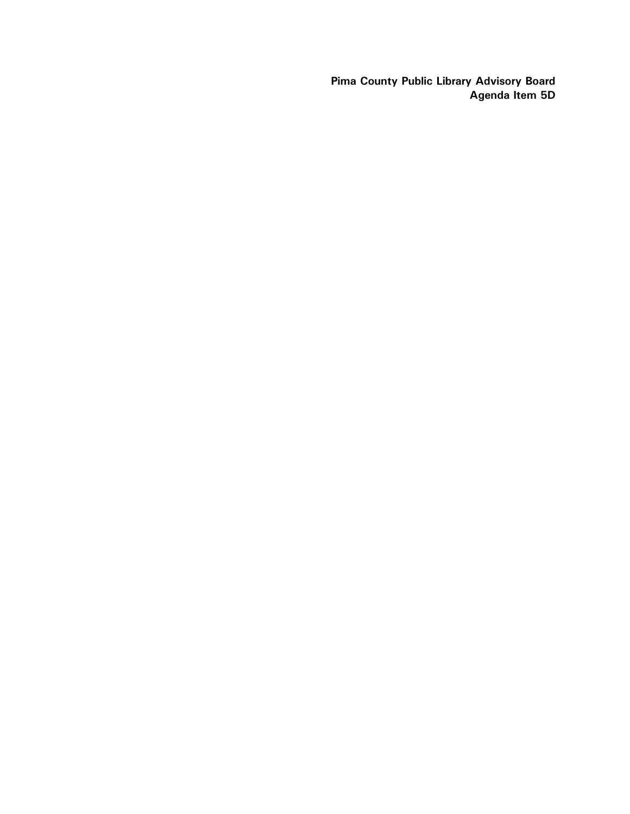Pima County Public Library Advisory Board Agenda Item 5D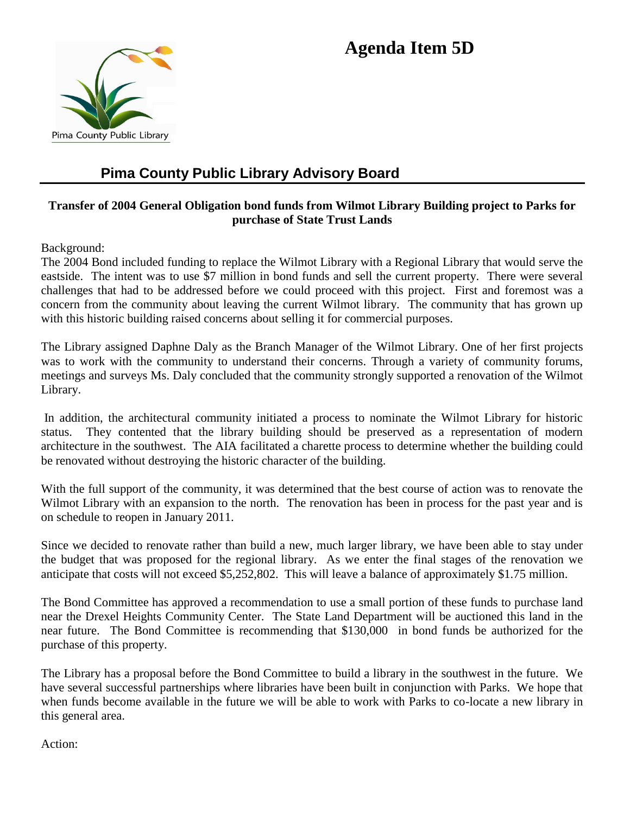# **Agenda Item 5D**



# **Pima County Public Library Advisory Board**

#### **Transfer of 2004 General Obligation bond funds from Wilmot Library Building project to Parks for purchase of State Trust Lands**

Background:

The 2004 Bond included funding to replace the Wilmot Library with a Regional Library that would serve the eastside. The intent was to use \$7 million in bond funds and sell the current property. There were several challenges that had to be addressed before we could proceed with this project. First and foremost was a concern from the community about leaving the current Wilmot library. The community that has grown up with this historic building raised concerns about selling it for commercial purposes.

The Library assigned Daphne Daly as the Branch Manager of the Wilmot Library. One of her first projects was to work with the community to understand their concerns. Through a variety of community forums, meetings and surveys Ms. Daly concluded that the community strongly supported a renovation of the Wilmot Library.

In addition, the architectural community initiated a process to nominate the Wilmot Library for historic status. They contented that the library building should be preserved as a representation of modern architecture in the southwest. The AIA facilitated a charette process to determine whether the building could be renovated without destroying the historic character of the building.

With the full support of the community, it was determined that the best course of action was to renovate the Wilmot Library with an expansion to the north. The renovation has been in process for the past year and is on schedule to reopen in January 2011.

Since we decided to renovate rather than build a new, much larger library, we have been able to stay under the budget that was proposed for the regional library. As we enter the final stages of the renovation we anticipate that costs will not exceed \$5,252,802. This will leave a balance of approximately \$1.75 million.

The Bond Committee has approved a recommendation to use a small portion of these funds to purchase land near the Drexel Heights Community Center. The State Land Department will be auctioned this land in the near future. The Bond Committee is recommending that \$130,000 in bond funds be authorized for the purchase of this property.

The Library has a proposal before the Bond Committee to build a library in the southwest in the future. We have several successful partnerships where libraries have been built in conjunction with Parks. We hope that when funds become available in the future we will be able to work with Parks to co-locate a new library in this general area.

Action: